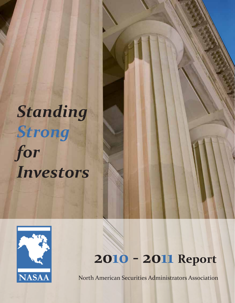# *Standing Strong for Investors*



# **2010 - 2011 Report**

North American Securities Administrators Association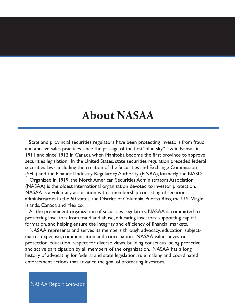# **About NASAA**

 State and provincial securities regulators have been protecting investors from fraud and abusive sales practices since the passage of the first "blue sky" law in Kansas in 1911 and since 1912 in Canada when Manitoba become the first province to approve securities legislation. In the United States, state securities regulation preceded federal securities laws, including the creation of the Securities and Exchange Commission (SEC) and the Financial Industry Regulatory Authority (FINRA), formerly the NASD.

 Organized in 1919, the North American Securities Administrators Association (NASAA) is the oldest international organization devoted to investor protection. NASAA is a voluntary association with a membership consisting of securities administrators in the 50 states, the District of Columbia, Puerto Rico, the U.S. Virgin Islands, Canada and Mexico.

 As the preeminent organization of securities regulators, NASAA is committed to protecting investors from fraud and abuse, educating investors, supporting capital formation, and helping ensure the integrity and efficiency of financial markets.

 NASAA represents and serves its members through advocacy, education, subjectmatter expertise, communication and coordination. NASAA values investor protection, education, respect for diverse views, building consensus, being proactive, and active participation by all members of the organization. NASAA has a long history of advocating for federal and state legislation, rule making and coordinated enforcement actions that advance the goal of protecting investors.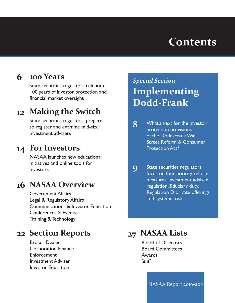# **Contents**

#### **100 Years 6**

State securities regulators celebrate 100 years of investor protection and financial market oversight

# **Making the Switch 12**

State securities regulators prepare to register and examine mid-size investment advisers

# **For Investors 14**

NASAA launches new educational initiatives and online tools for investors

# 16 NASAA Overview

Government Affairs Legal & Regulatory Affairs Communications & Investor Education Conferences & Events Training & Technology

# **Section Reports 22**

Broker-Dealer Corporation Finance Enforcement Investment Adviser Investor Education

# *Special Section* **Implementing Dodd-Frank**

- What's next for the investor protection provisions of the Dodd-Frank Wall Street Reform & Consumer Protection Act? **8**
- State securities regulators focus on four priority reform measures: investment adviser regulation, fiduciary duty, Regulation D private offerings and systemic risk **9**

# **27 NASAA Lists**

Board of Directors Board Committees Awards **Staff**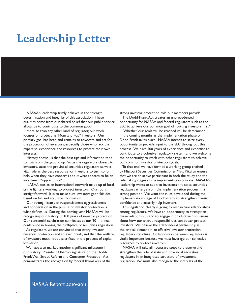# **Leadership Letter**

 NASAA's leadership firmly believes in the strength, determination and integrity of this association. These qualities come from our shared belief that our public service allows us to contribute to the common good.

 More so than any other kind of regulator, our work focuses on protecting "Mom and Pop" investors. Our primary goal has been and remains to advocate and act for the protection of investors, especially those who lack the expertise, experience and resources to protect their own interests.

 History shows us that the best tips and information tend to flow from the ground up. So as the regulators closest to investors, state and provincial securities regulators serve a vital role as the best resource for investors to turn to for help when they have concerns about what appears to be an investment "opportunity."

 NASAA acts as an international network made up of local crime fighters working to protect investors. Our job is straightforward. It is to make sure investors get a fair deal based on full and accurate information.

 Our strong history of responsiveness, aggressiveness and cooperation in the pursuit of investor protection is what defines us. During the coming year, NASAA will be recognizing our history of 100 years of investor protection. Our centennial celebration culminates at our 2011 annual conference in Kansas, the birthplace of securities regulation.

 As regulators, we are convinced that every investor deserves protection and an even break, and that the welfare of investors must not be sacrificed in the process of capital formation.

 We have also marked another significant milestone in our history. President Obama's signature on the Dodd-Frank Wall Street Reform and Consumer Protection Act demonstrates the recognition by federal lawmakers of the strong investor protection role our members provide.

 The Dodd-Frank Act creates an unprecedented opportunity for NASAA and federal regulators such as the SEC to achieve our common goal of "putting investors first."

 Whether our goals will be reached will be determined in the coming months as the implementation phase of Dodd-Frank takes place. NASAA intends to seize every opportunity to provide input to the SEC throughout this process. We have 100 years of experience and expertise to contribute to a cohesive regulatory system, and we welcome the opportunity to work with other regulators to achieve our common investor protection goals.

 To that end, we have formed a working group chaired by Missouri Securities Commissioner Matt Kitzi to ensure that we are an active participant in both the study and the rulemaking stages of the implementation process. NASAA's leadership wants to see that investors and state securities regulators emerge from the implementation process in a strong position. We want the rules developed during the implementation stage of Dodd-Frank to strengthen investor confidence and actually help investors.

 This legislation clearly is going to restructure relationships among regulators. We have an opportunity to strengthen these relationships and to engage in productive discussions about how our shared responsibilities can better protect investors. We believe the state-federal partnership is the critical element in an effective investor protection regulatory structure. Collaboration between regulators is vitally important because we must leverage our collective resources to protect investors.

 NASAA will take all necessary steps to preserve and strengthen the role of state and provincial securities regulators in an integrated structure of investment regulation. We must also recognize the interests of the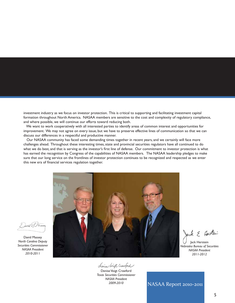investment industry as we focus on investor protection. This is critical to supporting and facilitating investment capital formation throughout North America. NASAA members are sensitive to the cost and complexity of regulatory compliance, and where possible, we will continue our efforts toward reducing both.

 We want to work cooperatively with all interested parties to identify areas of common interest and opportunities for improvement. We may not agree on every issue, but we have to preserve effective lines of communication so that we can discuss our differences in a respectful and productive manner.

 Our NASAA community has faced some demanding times together in recent years, and we certainly will face more challenges ahead. Throughout these interesting times, state and provincial securities regulators have all continued to do what we do best, and that is serving as the investor's first line of defense. Our commitment to investor protection is what has earned the recognition by Congress of the capabilities of NASAA members. The NASAA leadership pledges to make sure that our long service on the frontlines of investor protection continues to be recognized and respected as we enter this new era of financial services regulation together.



h & Hersten

Jack Herstein *Nebraska Bureau of Securities NASAA President 2011-2012*

Lenia Voigt Crawford

Denise Voigt Crawford *Texas Securities Commissioner NASAA President 2009-2010*

and Ames

David Massey *North Carolina Deputy Securities Commissioner NASAA President 2010-2011*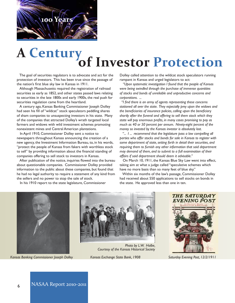

# **A Century of Investor Protection**

 The goal of securities regulators is to advocate and act for the protection of investors. This has been true since the passage of the nation's first blue sky law in Kansas in 1911.

 Although Massachusetts required the registration of railroad securities as early as 1852, and other states passed laws relating to securities in the late 1800s and early 1900s, the real push for securities regulation came from the heartland.

 A century ago, Kansas Banking Commissioner Joseph Dolley had seen his fill of "wildcat" stock speculators peddling shares of sham companies to unsuspecting investors in his state. Many of the companies that attracted Dolley's wrath targeted local farmers and widows with wild investment schemes promoting nonexistent mines and Central American plantations.

 In April 1910, Commissioner Dolley sent a notice to newspapers throughout Kansas announcing the creation of a new agency, the Investment Information Bureau, to, in his words, "protect the people of Kansas from fakers with worthless stock to sell" by providing information about the financial standing of companies offering to sell stock to investors in Kansas.

 After publication of the notice, inquiries flowed into the bureau about questionable companies. Commissioner Dolley provided information to the public about these companies, but found that he had no legal authority to require a statement of any kind from the sellers and no power to stop the sale of stock.

In his 1910 report to the state legislature, Commissioner

Dolley called attention to the wildcat stock speculators running rampant in Kansas and urged legislators to act:

 *"Upon systematic investigation I found that the people of Kansas were being swindled through the purchase of immense quantities of stocks and bonds of unreliable and unproductive concerns and corporations. ...*

 *"I find there is an army of agents representing these concerns stationed all over the state. They especially prey upon the widows and the beneficiaries of insurance policies, calling upon the beneficiary shortly after the funeral and offering to sell them stock which they state will pay enormous profits, in many cases promising to pay as much as 40 or 50 percent per annum. Ninety-eight percent of the money so invested by the Kansas investor is absolutely lost.*

 *"... I ... recommend that the legislature pass a law compelling all parties who offer stocks and bonds for sale in Kansas to register with some department of state, setting forth in detail their securities, and requiring them to furnish any other information that said department may demand of them, and to submit to a full examination of their affairs if said department should deem it advisable."*

 On March 10, 1911, the Kansas Blue Sky Law went into effect, taking aim at what a judge called "speculative schemes which have no more basis than so many feet of blue sky."

 Within six months of the law's passage, Commissioner Dolley had received about 550 applications to sell stocks on bonds in the state. He approved less than one in ten.



*Kansas Banking Commissioner Joseph Dolley Kansas Exchange State Bank, 1908 Saturday Evening Post, 12/2/1911*



*Photo by L.W. Halbe, Courtesy of the Kansas Historical Society*

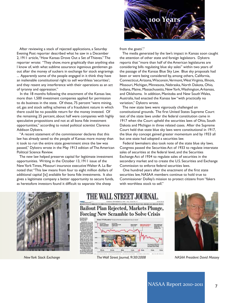After reviewing a stack of rejected applications, a Saturday Evening Post reporter described what he saw in a December 2, 1911 article, "How Kansas Drove Out a Set of Thieves." The reporter wrote: "They show, more graphically than anything else I know of, with what sublime assurance ingenious gentlemen go out after the money of suckers in exchange for stock engravings ... Apparently some of the people engaged in it think they have an inalienable constitutional right to sell worthless 'securities'; and they resent any interference with their operations as an act of tyranny and oppression."

 In the 18 months following the enactment of the Kansas law, more than 1,500 investment companies applied for permission to do business in the state. Of these, 75 percent "were mining, oil, gas and stock selling schemes of a fraudulent nature in which there could be no possible return for the money invested. Of the remaining 25 percent, about half were companies with highly speculative propositions and not at all bona fide investment opportunities," according to noted political scientist Clarence Addison Dykstra.

 "A recent statement of the commissioner declares that this law has already saved to the people of Kansas more money than it took to run the entire state government since the law was passed," Dykstra wrote in the May 1913 edition of The American Political Science Review.

 The new law helped preserve capital for legitimate investment opportunities. Writing in the October 13, 1911 issue of the New York Times, Missouri insurance executive Walter A. La Bar noted that "This law means from four to eight million dollars of additional capital [is] available for bona fide investments. It also gives a legitimate company a better opportunity to secure funds, as heretofore investors found it difficult to separate 'the sheep



from the goats'."

 The media generated by the law's impact in Kansas soon caught the attention of other state and foreign legislators. Dykstra reports that "more than half of the American legislatures are considering bills regulating blue sky sales" within two years of the passage of the Kansas Blue Sky Law. Blue sky proposals had been or were being considered by, among others, California, Connecticut, Arizona, Wisconsin, Vermont, West Virginia, Illinois, Missouri, Michigan, Minnesota, Nebraska, North Dakota, Ohio, Indiana, Maine, Massachusetts, New York, Washington, Arkansas, and Oklahoma. In addition, Manitoba and New South Wales, Australia, had enacted the Kansas law "with practically no variation," Dykstra wrote.

 The new state laws were vigorously challenged on constitutional grounds. The first United States Supreme Court test of the state laws under the federal constitution came in 1917 when the Court upheld the securities laws of Ohio, South Dakota and Michigan in three related cases. After the Supreme Court held that state blue sky laws were constitutional in 1917, the blue sky concept gained greater momentum and by 1933 all but one state had adopted a securities law.

 Federal lawmakers also took note of the state blue sky laws. Congress passed the Securities Act of 1933 to regulate interstate sales of securities at the federal level, and the Securities Exchange Act of 1934 to regulate sales of securities in the secondary market and to create the U.S. Securities and Exchange Commission to enforce federal securities laws.

 One hundred years after the enactment of the first state securities law, NASAA members continue to hold true to Commissioner Dolley's mission to protect citizens from "fakers with worthless stock to sell."





**Isn** 

140 Za.m.



*New York Stock Exchange The Wall Street Journal, 9/30/2008 NASAA President David Massey*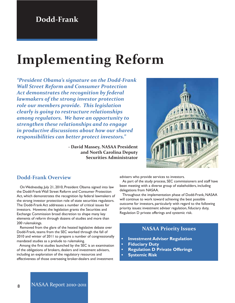# **Implementing Reform**

*"President Obama's signature on the Dodd-Frank Wall Street Reform and Consumer Protection Act demonstrates the recognition by federal lawmakers of the strong investor protection role our members provide. This legislation clearly is going to restructure relationships among regulators. We have an opportunity to strengthen these relationships and to engage in productive discussions about how our shared responsibilities can better protect investors."*

> **- David Massey, NASAA President and North Carolina Deputy Securities Administrator**



### **Dodd-Frank Overview**

 On Wednesday, July 21, 2010, President Obama signed into law the Dodd-Frank Wall Street Reform and Consumer Protection Act, which demonstrates the recognition by federal lawmakers of the strong investor protection role of state securities regulators. The Dodd-Frank Act addresses a number of critical issues for investors. However, the legislation grants the Securities and Exchange Commission broad discretion to shape many key elements of reform through dozens of studies and more than 200 rulemakings.

 Removed from the glare of the heated legislative debate over Dodd-Frank, teams from the SEC worked through the fall of 2010 and winter of 2011 to prepare a number of congressionally mandated studies as a prelude to rulemaking.

 Among the first studies launched by the SEC is an examination of the obligations of brokers, dealers and investment advisers, including an exploration of the regulatory resources and effectiveness of those overseeing broker-dealers and investment

advisers who provide services to investors.

 As part of the study process, SEC commissioners and staff have been meeting with a diverse group of stakeholders, including delegations from NASAA.

 Throughout the implementation phase of Dodd-Frank, NASAA will continue to work toward achieving the best possible outcome for investors, particularly with regard to the following priority issues: investment adviser regulation, fiduciary duty, Regulation D private offerings and systemic risk.

### **NASAA Priority Issues**

- **Howestment Adviser Regulation**
- **Fiduciary Duty**
- **• Regulation D Private Offerings**
- **• Systemic Risk**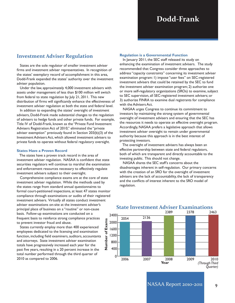### **Investment Adviser Regulation**

 States are the sole regulator of smaller investment adviser firms and investment adviser representatives. In recognition of the states' exemplary record of accomplishment in this area, Dodd-Frank expanded the states' authority over the investment adviser population.

 Under the law, approximately 4,000 investment advisers with assets under management of less than \$100 million will switch from federal to state regulation by July 21, 2011. This new distribution of firms will significantly enhance the effectiveness of investment adviser regulation at both the state and federal level.

 In addition to expanding the states' oversight of investment advisers, Dodd-Frank made substantial changes to the regulation of advisers to hedge funds and other private funds. For example, Title IV of Dodd-Frank, known as the "Private Fund Investment Advisers Registration Act of 2010," eliminated the "private adviser exemption" previously found in Section 203(b)(3) of the Investment Advisers Act, which allowed investment advisers to private funds to operate without federal regulatory oversight.

#### **States Have a Proven Record**

 The states have a proven track record in the area of investment adviser regulation. NASAA is confident that state securities regulators will continue to marshal the examination and enforcement resources necessary to effectively regulate investment advisers subject to their oversight.

 Comprehensive compliance exams are at the core of state investment adviser regulation. While the methods used by the states range from standard annual questionnaires to formal court-petitioned inspections, at least 47 states monitor compliance through examinations or audits of their registered investment advisers. Virtually all states conduct investment adviser examinations on-site at the investment adviser's principal place of business on a "routine" or non-cause basis. Follow-up examinations are conducted on a frequent basis to reinforce strong compliance practices to prevent investor fraud and abuse.

 States currently employ more than 400 experienced employees dedicated to the licensing and examination function, including field examiners, auditors, accountants and attorneys. State investment adviser examination totals have progressively increased each year for the past five years, resulting in a 20 percent increase in the total number performed through the third quarter of 2010 as compared to 2006.

#### **Regulation is a Governmental Function**

 In January 2011, the SEC staff released its study on enhancing the examination of investment advisers. The study recommended that Congress consider three approaches to address "capacity constraints" concerning its investment adviser examination program: 1) impose "user fees" on SEC-registered investment advisers that could be retained by the SEC to fund the investment adviser examination program; 2) authorize one or more self-regulatory organizations (SROs) to examine, subject to SEC supervision, all SEC-registered investment advisers; or 3) authorize FINRA to examine dual registrants for compliance with the Advisers Act.

 NASAA urges Congress to continue its commitment to investors by maintaining the strong system of governmental oversight of investment advisers and ensuring that the SEC has the resources it needs to operate an effective oversight program. Accordingly, NASAA prefers a legislative approach that allows investment adviser oversight to remain under governmental authority because this approach is in the best interest of protecting investors.

 The oversight of investment advisers has always been an effective partnership between state and federal regulators, both of which are transparent and directly accountable to the investing public. This should not change.

 NASAA shares the SEC staff's concerns about the disadvantages inherent in self-regulation. Our primary concerns with the creation of an SRO for the oversight of investment advisers are the lack of accountability, the lack of transparency and the conflicts of interest inherent to the SRO model of regulation.



## **State Investment Adviser Examinations**

9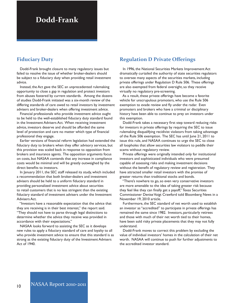# **Dodd-Frank**

### **Fiduciary Duty**

 Dodd-Frank brought closure to many regulatory issues but failed to resolve the issue of whether broker-dealers should be subject to a fiduciary duty when providing retail investment advice.

 Instead, the Act gave the SEC an unprecedented rulemaking opportunity to close a gap in regulation and protect investors from abuses fostered by current standards. Among the dozens of studies Dodd-Frank initiated was a six-month review of the differing standards of care owed to retail investors by investment advisers and broker-dealers when offering investment advice.

 Financial professionals who provide investment advice ought to be held to the well-established fiduciary duty standard found in the Investment Advisers Act. When receiving investment advice, investors deserve and should be afforded the same level of protection and care no matter which type of financial professional they engage.

 Earlier versions of financial reform legislation had extended the fiduciary duty to brokers when they offer advisory services, but this provision was scaled back in response to opposition from brokers and insurance agents. The opposition arguments focus on costs, but NASAA contends that any increase in compliance costs would be minimal and will be greatly outweighed by the direct benefits to investors.

 In January 2011, the SEC staff released its study, which included a recommendation that both broker-dealers and investment advisers should be held to a uniform fiduciary standard in providing personalized investment advice about securities to retail customers that is no less stringent than the existing fiduciary standard of investment advisers under the Investment Advisers Act.

 "Investors have a reasonable expectation that the advice that they are receiving is in their best interest," the report said. "They should not have to parse through legal distinctions to determine whether the advice they receive was provided in accordance with their expectations."

 NASAA looks forward to assisting the SEC as it develops new rules to apply a fiduciary standard of care and loyalty to all who provide investment advice to ensure that this standard is as strong as the existing fiduciary duty of the Investment Advisers Act of 1940.

## **Regulation D Private Offerings**

 In 1996, the National Securities Markets Improvement Act dramatically curtailed the authority of state securities regulators to oversee many aspects of the securities markets, including private offerings under Regulation D Rule 506. These offerings are also exempted from federal oversight, so they receive virtually no regulatory pre-screening.

 As a result, these private offerings have become a favorite vehicle for unscrupulous promoters, who use the Rule 506 exemption to evade review and fly under the radar. Even promoters and brokers who have a criminal or disciplinary history have been able to continue to prey on investors under this exemption.

 Dodd-Frank takes a necessary first step toward reducing risks for investors in private offerings by requiring the SEC to issue rulemaking disqualifying recidivist violators from taking advantage of the Rule 506 exemption. The SEC has until June 21, 2011 to issue this rule, and NASAA continues to urge the SEC to close all loopholes that allow securities law violators to peddle their scams without regulatory review.

 Private offerings were originally intended only for institutional investors and sophisticated individuals who were presumed capable of assessing risks and making investment decisions without the benefit of regulatory review and registration. They have attracted smaller retail investors with the promise of greater returns than traditional stocks and bonds.

 "There's nowhere to go, so even very conservative investors are more amenable to the idea of taking greater risk because they feel like they can finally get a payoff," Texas Securities Commissioner Denise Voigt Crawford told Bloomberg News in a November 19, 2010 article.

 Furthermore, the SEC standard of net worth used to establish an investor as "accredited" to participate in private offerings has remained the same since 1982. Investors, particularly retirees and those with much of their net worth tied to their homes, have been sold risky private placements that they may not fully understand.

 Dodd-Frank moves to correct this problem by excluding the value of individual investors' homes in the calculation of their net worth. NASAA will continue to push for further adjustments to the accredited investor standard.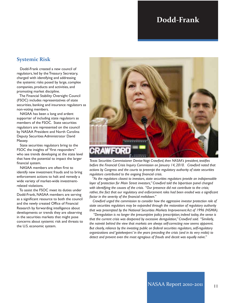# **Dodd-Frank**

### **Systemic Risk**

 Dodd-Frank created a new council of regulators, led by the Treasury Secretary, charged with identifying and addressing the systemic risks posed by large, complex companies, products and activities, and promoting market discipline.

 The Financial Stability Oversight Council (FSOC) includes representatives of state securities, banking and insurance regulators as non-voting members.

 NASAA has been a long and ardent supporter of including state regulators as members of the FSOC. State securities regulators are represented on the council by NASAA President and North Carolina Deputy Securities Administrator David Massey.

 State securities regulators bring to the FSOC the insights of "first responders" who see trends developing at the state level that have the potential to impact the larger financial system.

 NASAA members are often first to identify new investment frauds and to bring enforcement actions to halt and remedy a wide variety of market-wide investmentrelated violations.

 To assist the FSOC meet its duties under Dodd-Frank, NASAA members are serving as a significant resource to both the council and the newly created Office of Financial Research by forwarding intelligence about developments or trends they are observing in the securities markets that might pose concerns about systemic risk and threats to the U.S. economic system.



*Texas Securities Commissioner Denise Voigt Crawford, then NASAA's president, testifies before the Financial Crisis Inquiry Commission on January 14, 2010. Crawford noted that actions by Congress and the courts to preempt the regulatory authority of state securities regulators contributed to the ongoing financial crisis.*

 *"As the regulators closest to investors, state securities regulators provide an indispensable layer of protection for Main Street investors," Crawford told the bipartisan panel charged with identifying the causes of the crisis. "Our presence did not contribute to the crisis; rather, the fact that our regulatory and enforcement roles had been eroded was a significant factor in the severity of the financial meltdown."* 

 *Crawford urged the commission to consider how the aggressive investor protection role of state securities regulators may be expanded through the restoration of regulatory authority that was preempted by the National Securities Markets Improvement Act of 1996 (NSMIA).*

 *"Deregulation is no longer the presumptive policy prescription; indeed today, the sense is that the current crisis was deepened by excessive deregulation," Crawford said. "Similarly, the naiveté behind the view that markets are always self-correcting now seems apparent. But clearly, reliance by the investing public on federal securities regulators, self-regulatory organizations and 'gatekeepers' in the years preceding the crisis (and in its very midst) to detect and prevent even the most egregious of frauds and deceit was equally naïve."*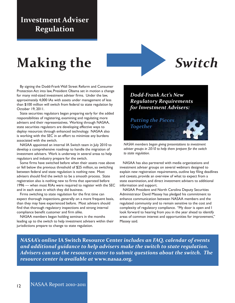# **Investment Adviser Regulation**

# **Making the** *Switch*

 By signing the Dodd-Frank Wall Street Reform and Consumer Protection Act into law, President Obama set in motion a change for many mid-sized investment adviser firms. Under the law, approximately 4,000 IAs with assets under management of less than \$100 million will switch from federal to state regulation by October 19, 2011.

 State securities regulators began preparing early for the added responsibilities of registering, examining and regulating more advisers and their representatives. Working through NASAA, state securities regulators are developing effective ways to deploy resources through enhanced technology. NASAA also is working with the SEC in an effort to minimize any burdens associated with the switch.

 NASAA appointed an internal IA Switch team in July 2010 to develop a comprehensive roadmap to handle the migration of investment advisers. Work is underway in several areas to help regulators and industry prepare for the switch.

 Some firms have switched before when their assets rose above or fell below the previous threshold of \$25 million, so switching between federal and state regulation is nothing new. Most advisers should find the switch to be a smooth process. State registration also is nothing new to firms that operated before 1996 — when most RIAs were required to register with the SEC and in each state in which they did business.

 Firms switching to state regulation for the first time can expect thorough inspections, generally on a more frequent basis, than they may have experienced before. Most advisers should find that thorough regulatory inspections and strong internal compliance benefit customer and firm alike.

 NASAA members began holding seminars in the months leading up to the switch to help investment advisers within their jurisdictions prepare to change to state regulation.

*Dodd-Frank Act's New Regulatory Requirements for Investment Advisers:*

*Putting the Pieces Together*

*NASAA members began giving presentations to investment adviser groups in 2010 to help them prepare for the switch to state regulation.* 

 NASAA has also partnered with media organizations and investment adviser groups on several webinars designed to explain new registration requirements, outline key filing deadlines and caveats, provide an overview of what to expect from a state examination, and direct investment advisers to additional information and support.

 NASAA President and North Carolina Deputy Securities Administrator David Massey has pledged his commitment to enhance communication between NASAA members and the regulated community and to remain sensitive to the cost and complexity of regulatory compliance. "My door is open and I look forward to hearing from you in the year ahead to identify areas of common interest and opportunities for improvement," Massey said.

*NASAA's online* **IA Switch Resource Center** *includes an FAQ, calendar of events and additional guidance to help advisers make the switch to state regulation. Advisers can use the resource center to submit questions about the switch. The resource center is available at* **www.nasaa.org***.*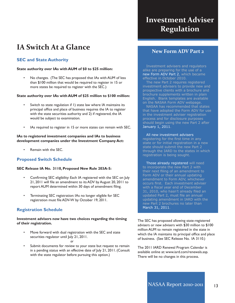# **IA Switch At a Glance**

### **SEC and State Authority**

### **State authority over IAs with AUM of \$0 to \$25 million:**

• No changes. (The SEC has proposed that IAs with AUM of less than \$100 million that would be required to register in 15 or more states be required to register with the SEC.)

### **State authority over IAs with AUM of \$25 million to \$100 million:**

- Switch to state regulation if 1) state law where IA maintains its principal office and place of business requires the IA to register with the state securities authority and 2) if registered, the IA would be subject to examination.
- IAs required to register in 15 or more states can remain with SEC.

#### **IAs to registered investment companies and IAs to business development companies under the Investment Company Act:**

• Remain with the SEC.

### **Proposed Switch Schedule**

### **SEC Release IA No. 3110, Proposed New Rule 203A-5:**

- Confirming SEC eligibility: Each IA registered with the SEC on July 21, 2011 will file an amendment to its ADV by August 20, 2011 to report AUM determined within 30 days of amendment filing.
- Terminating SEC registration: IAs no longer eligible for SEC registration must file ADV-W by October 19, 2011.

### **Registration Schedule**

### **Investment advisers now have two choices regarding the timing of their registration.**

Move forward with dual registration with the SEC and state securities regulator until July 21, 2011.

#### *or*

Submit documents for review to your state but request to remain in a pending status with an effective date of July 21, 2011. (Consult with the state regulator before pursuing this option.)

# **Investment Adviser Regulation**

### **New Form ADV Part 2**

 Investment advisers and regulators alike are preparing for the use of a new Form ADV Part 2, which became effective in October 2010.

 The new Part 2 requires registered investment advisers to provide new and prospective clients with a brochure and brochure supplements written in plain English. Blank templates are available on the NASAA Form ADV webpage.

 NASAA has recommended that states that have adopted the Form ADV for use in the investment adviser registration process and for disclosure purposes should begin using the new Part 2 after January 1, 2011.

#### All new investment advisers

registering for the first time in any state or for initial registration in a new state should submit the new Part 2 through the IARD to the states in which registration is being sought.

 Those already registered will need to incorporate the new Part 2 with their next filing of an amendment to Form ADV or their annual updating amendment to Form ADV, whichever occurs first. Each investment adviser with a fiscal year end of December 31, 2010, who hasn't already filed an updated Part 2, must file an annual updating amendment in IARD with the new Part 2 brochures no later than March 31, 2011.

The SEC has proposed allowing state-registered advisers or new advisers with \$30 million to \$100 million AUM to remain registered in the state in which the IA maintains its principal office and place of business. (See SEC Release No. IA 3110.)

The 2011 IARD Renewal Program Calendar is available online at: www.iard.com/renewals.asp. There will be no changes in this process.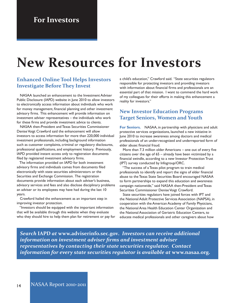# **New Resources for Investors**

### **Enhanced Online Tool Helps Investors Investigate Before They Invest**

 NASAA launched an enhancement to the Investment Adviser Public Disclosure (IAPD) website in June 2010 to allow investors to electronically access information about individuals who work for money management, financial planning and other investment advisory firms. This enhancement will provide information on investment adviser representatives – the individuals who work for these firms and provide investment advice to clients.

 NASAA then-President and Texas Securities Commissioner Denise Voigt Crawford said the enhancement will allow investors to access information for more than 220,000 individual investment professionals, including background information such as customer complaints, criminal or regulatory disclosures, professional qualifications, and employment history. Previously, IAPD provided instant access only to registration documents filed by registered investment advisory firms.

 The information provided on IAPD for both investment advisory firms and individuals comes from documents filed electronically with state securities administrators or the Securities and Exchange Commission. The registration documents provide information about each adviser's business, advisory services and fees and also disclose disciplinary problems an adviser or its employees may have had during the last 10 years.

 Crawford hailed the enhancement as an important step in improving investor protection.

 "Investors should be equipped with the important information that will be available through this website when they evaluate who they should hire to help them plan for retirement or pay for

a child's education," Crawford said. "State securities regulators responsible for protecting investors and providing investors with information about financial firms and professionals are an essential part of that mission. I want to commend the hard work of my colleagues for their efforts in making this enhancement a reality for investors."

### **New Investor Education Programs Target Seniors, Women and Youth**

**For Seniors.** NASAA, in partnership with physicians and adult protective services organizations, launched a new initiative in June 2010 to increase awareness among doctors and medical professionals of an under-recognized and underreported form of elder abuse: financial fraud.

 More than 7.3 million older Americans – one out of every five citizens over the age of 65 – already have been victimized by a financial swindle, according to a new Investor Protection Trust (IPT) survey conducted by Infogroup/ORC.

 "The success of a Texas pilot program to train medical professionals to identify and report the signs of elder financial abuse to the Texas State Securities Board encouraged NASAA to form partnerships to expand this education and awareness campaign nationwide," said NASAA then-President and Texas Securities Commissioner Denise Voigt Crawford.

 State securities regulators have joined forces with IPT and the National Adult Protective Services Association (NAPSA), in cooperation with the American Academy of Family Physicians, the National Area Health Education Center Organization and the National Association of Geriatric Education Centers, to educate medical professionals and other caregivers about how

*Search* **IAPD** *at* **www.adviserinfo.sec.gov***. Investors can receive additional information on investment adviser firms and investment adviser representatives by contacting their state securities regulator. Contact information for every state securities regulator is available at* **www.nasaa.org***.*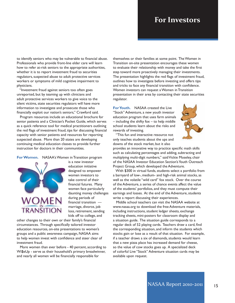## **For Investors**

to identify seniors who may be vulnerable to financial abuse. Professionals who provide front-line elder care will learn how to refer at-risk seniors to the appropriate authorities, whether it is to report investment fraud to securities regulators, suspected abuse to adult protective services workers or symptoms of mild cognitive impairment to physicians.

 "Investment fraud against seniors too often goes unreported, but by teaming up with clinicians and adult protective services workers to give voice to the silent victims, state securities regulators will have more information to investigate and prosecute those who financially exploit our nation's seniors," Crawford said.

 Program resources include an educational brochure for senior patients and a Clinician's Pocket Guide, which serves as a quick reference tool for medical practitioners outlining the red flags of investment fraud, tips for discussing financial capacity with senior patients and resources for reporting suspected abuse. More than 20 states are developing continuing medical education classes to provide further instruction for doctors in their communities.

**ForWomen.** NASAA's Women in Transition program



is a new investor education initiative designed to empower women investors to take control of their financial futures. Many women face particularly daunting money challenges during periods of financial transition marriage, divorce, job loss, retirement, sending kids off to college, and

other changes to their own or their family's financial circumstances. Through specifically tailored investor education resources, on-site presentations to women's groups and a public awareness campaign, NASAA aims to help women invest with confidence and steer clear of investment fraud.

 More women than ever before - 40 percent, according to Wi\$eUp - serve as their household's primary breadwinner, and nearly all women will be financially responsible for

themselves or their families at some point. The Women in Transition on-site presentation encourages these women to evaluate their relationship with money and take the first step toward more proactively managing their investments. The presentation highlights the red flags of investment fraud, outlines how to investigate before investing and offers tips and tricks to face any financial transition with confidence. Women investors can request a Women in Transition presentation in their area by contacting their state securities regulator.

**ForYouth.** NASAA created the Live "Stock" Adventure, a new youth investor education program that uses farm animals – including the shifty fox – to help middle school students learn about the risks and rewards of investing.



 "This fun and interactive resource not only teaches students about the ups and downs of the stock market, but it also

provides an innovative way to practice specific math skills such as calculating percentages and adding, subtracting and multiplying multi-digit numbers," said Vickie Moseley, chair of the NASAA Investor Education Section's Youth Outreach Project Group, which developed the Adventure.

 With \$300 in virtual funds, students select a portfolio from a barnyard of low-, medium- and high-risk animal stocks, as well as the volatile "wild card" fox stock. Over the course of the Adventure, a series of chance events affect the value of the students' portfolios, and they must compute their earnings and losses. At the end of the Adventure, students write a report discussing their experiences.

 Middle school teachers can visit the NASAA website at www.nasaa.org to download the free Adventure materials, including instructions, student ledger sheets, exchange tracking sheets, mini-posters for classroom display and a situation guide. The situation guide corresponds to a regular deck of 52 playing cards. Teachers draw a card, find the corresponding situation, and inform the students which stocks gain or lose as a result of that situation. For example, if a teacher draws a six of diamonds, students would learn that a new pizza place has increased demand for cheese, so the value of cow stocks goes up. A specialized deck of colorful Live "Stock" Adventure situation cards may be available upon request.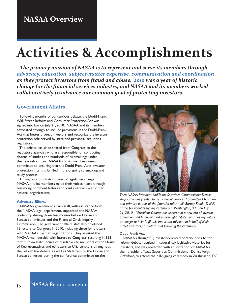# **Activities & Accomplishments**

 *The primary mission of NASAA is to represent and serve its members through advocacy, education, subject-matter expertise, communication and coordination as they protect investors from fraud and abuse. 2010 was a year of historic change for the financial services industry, and NASAA and its members worked collaboratively to advance our common goal of protecting investors.*

### **Government Affairs**

 Following months of contentious debate, the Dodd-Frank Wall Street Reform and Consumer Protection Act was signed into law on July 21, 2010. NASAA and its members advocated strongly to include provisions in the Dodd-Frank Act that better protect investors and recognize the investor protection role served by state and provincial securities regulators.

 The debate has since shifted from Congress to the regulatory agencies who are responsible for conducting dozens of studies and hundreds of rulemakings under the new reform law. NASAA and its members remain committed to ensuring that the Dodd-Frank Act's investor protection intent is fulfilled in the ongoing rulemaking and study process.

 Throughout this historic year of legislative change, NASAA and its members made their voices heard through testimony, comment letters and joint outreach with other national organizations.

#### **Advocacy Efforts**

 NASAA's government affairs staff, with assistance from the NASAA legal department, supported the NASAA leadership during three testimonies before House and Senate committees and the Financial Crisis Inquiry Commission. The government affairs staff also produced 13 letters to Congress in 2010, including three joint letters with NASAA's partner organizations. They assisted the NASAA membership with letters to Congress, resulting in 153 letters from state securities regulators to members of the House of Representatives and 63 letters to U.S. senators throughout the reform law debate, as well as 56 letters to the House and Senate conferees during the conference committee on the



*Then-NASAA President and Texas Securities Commissioner Denise Voigt Crawford greets House Financial Services Committee Chairman and primary author of the financial reform bill Barney Frank (D-MA) at the presidential signing ceremony in Washington, D.C. on July 21, 2010. "President Obama has ushered in a new era of investor protection and financial market oversight. State securities regulators are eager to help fulfill this important mission on behalf of Main Street investors," Crawford said following the ceremony.*

#### Dodd-Frank Act.

 NASAA's thoughtful, investor-oriented contributions to the reform debate resulted in several key legislative victories for investors, and was rewarded with an invitation for NASAA's then-president, Texas Securities Commissioner Denise Voigt Crawford, to attend the bill-signing ceremony in Washington, DC.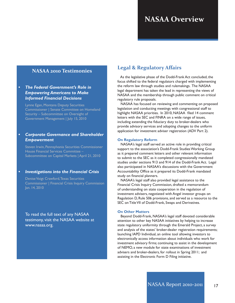### **NASAA 2010 Testimonies**

### *• The Federal Government's Role in Empowering Americans to Make Informed Financial Decisions*

Lynne Egan, Montana Deputy Securities Commissioner | Senate Committee on Homeland Security – Subcommittee on Oversight of Government Management | July 15, 2010

### *• Corporate Governance and Shareholder Empowerment*

Steven Irwin, Pennsylvania Securities Commissioner House Financial Services Committee – Subcommittee on Capital Markets | April 21, 2010

### *• Investigations into the Financial Crisis*

Denise Voigt Crawford, Texas Securities Commissioner | Financial Crisis Inquiry Commission Jan. 14, 2010

To read the full text of any NASAA testimony, visit the NASAA website at www.nasaa.org.

### **Legal & Regulatory Affairs**

 As the legislative phase of the Dodd-Frank Act concluded, the focus shifted to the federal regulators charged with implementing the reform law through studies and rulemakings. The NASAA legal department has taken the lead in representing the views of NASAA and the membership through public comment on critical regulatory rule proposals.

 NASAA has focused on reviewing and commenting on proposed legislation and conducting meetings with congressional staff to highlight NASAA priorities. In 2010, NASAA filed 14 comment letters with the SEC and FINRA on a wide range of issues, including extending the fiduciary duty to broker-dealers who provide advisory services and adopting changes to the uniform application for investment adviser registration (ADV Part 2).

#### **On Regulatory Reform**

 NASAA's legal staff served an active role in providing critical support to the association's Dodd-Frank Studies Working Group as it prepared comment letters and other relevant information to submit to the SEC as it completed congressionally mandated studies under sections 913 and 914 of the Dodd-Frank Act. Legal also participated in NASAA's discussions with the Government Accountability Office as it prepared its Dodd-Frank mandated study on financial planners.

 NASAA's legal staff also provided legal assistance to the Financial Crisis Inquiry Commission, drafted a memorandum of understanding on state cooperation in the regulation of investment advisers, negotiated with Angel investor groups on Regulation D, Rule 506 provisions, and served as a resource to the SEC on Title VII of Dodd-Frank, Swaps and Derivatives.

#### **On Other Matters**

 Beyond Dodd-Frank, NASAA's legal staff devoted considerable attention to other key NASAA initiatives by helping to increase state regulatory uniformity through the Emerald Project, a survey and analysis of the states' broker-dealer registration requirements; launching IAPD Individual, an online tool allowing investors to electronically access information about individuals who work for investment advisory firms; continuing to assist in the development of NEMO, a new module for state examinations of investment advisers and broker-dealers, for rollout in Spring 2011; and assisting in the Electronic Form D Filing initiative.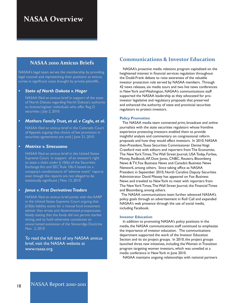### **NASAA 2010 Amicus Briefs**

NASAA's legal team serves the membership by providing legal counsel and representing their positions as amicus curiae in significant cases brought by private plaintiffs.

### *• State of North Dakota v. Hager*

NASAA filed an amicus brief in support of the state of North Dakota regarding North Dakota's authority to license/register individuals who offer Reg D securities | July 2, 2010

### *• Mathers FamilyTrust, et al. v Cagle, et al.*

NASAA filed an amicus brief in the Colorado Court of Appeals arguing that choice of law provisions in securities agreements are void | June 21, 2010

### *• Matrixx v. Siracusano*

NASAA filed an amicus brief in the United States Supreme Court in support of an investor's right to state a claim under  $\S$  10(b) of the Securities Exchange Act and SEC Rule 10b-5 based on a company's nondisclosure of "adverse event" reports even though the reports are not alleged to be statistically significant | Nov. 12, 2010

### *• Janus v. First DerivativesTraders*

NASAA filed an amicus brief jointly with the AARP in the United States Supreme Court arguing that §10(b) liability exists for a mutual fund investment adviser that wrote and disseminated prospectuses falsely stating that the funds did not permit market timing, and to hold otherwise constitutes an unwarranted extension of the Stoneridge Doctrine Nov. 2, 2010

To read the full text of any NASAA amicus brief, visit the NASAA website at www.nasaa.org.

## **Communications & Investor Education**

 NASAA's proactive media relations program capitalized on the heightened interest in financial services regulation throughout the Dodd-Frank debate to raise awareness of the valuable investor protection role served by NASAA members. Through 42 news releases, six media tours and two live news conferences in New York and Washington, NASAA's communications staff supported the NASAA leadership as they advocated for proinvestor legislative and regulatory proposals that preserved and enhanced the authority of state and provincial securities regulators to protect investors.

#### **Policy Promotion**

 The NASAA media team connected print, broadcast and online journalists with the state securities regulators whose frontline experience protecting investors enabled them to provide insightful analysis and commentary on congressional reform proposals and how they would affect investors. In 2010, NASAA then-President, Texas Securities Commissioner Denise Voigt Crawford met with editors and reporters from The Economist, The New York Times, The Wall Street Journal, USA Today, Forbes, Money, Redbook, AP, Dow Jones, CNBC, Reuters, Bloomberg News & TV, Fox Business News and Canada's Business News Network, among others. Since taking office as NASAA President in September 2010, North Carolina Deputy Securities Administrator David Massey has appeared on Fox Business News and traveled to New York to meet with reporters from The New York Times, The Wall Street Journal, the Financial Times and Bloomberg, among others.

 The NASAA communications team further advanced NASAA's policy goals through an advertisement in Roll Call and expanded NASAA's web presence through the use of social media, including Facebook.

#### **Investor Education**

 In addition to promoting NASAA's policy positions in the media, the NASAA communications staff continued to emphasize the importance of investor education. The communications department supported the work of the Investor Education Section and its six project groups. In 2010, the project groups launched three new initiatives, including the Women in Transition program targeting women investors, which was unveiled at a media conference in New York in June 2010.

NASAA maintains ongoing relationships with national partners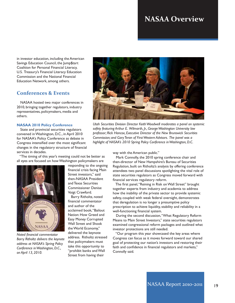in investor education, including the American Savings Education Council, the Jump\$tart Coalition for Personal Financial Literacy, U.S. Treasury's Financial Literacy Education Commission and the National Financial Education Network, among others.

### **Conferences & Events**

 NASAA hosted two major conferences in 2010, bringing together regulators, industry representatives, policymakers, media and others.

#### **NASAA 2010 Policy Conference**

 State and provincial securities regulators convened in Washington, D.C., in April 2010 for NASAA's Policy Conference as debate in Congress intensified over the most significant changes in the regulatory structure of financial services in decades.

 "The timing of this year's meeting could not be better as all eyes are focused on how Washington policymakers are



*Noted financial commentator Barry Ritholtz delivers the keynote address at NASAA's Spring Policy Conference in Washington, D.C., on April 13, 2010.*

responding to the ongoing financial crisis facing Main Street investors," said then-NASAA President and Texas Securities Commissioner Denise Voigt Crawford.

 Barry Ritholtz, noted financial commentator and author of the acclaimed book, "Bailout Nation: How Greed and Easy Money Corrupted Wall Street and Shook the World Economy," delivered the keynote address. Ritholtz stressed that policymakers must take this opportunity to "prohibit banks and Wall Street from having their



*Utah Securities Division Director Keith Woodwell moderates a panel on systemic safety featuring Arthur E. Wilmarth, Jr., George Washington University law professor; Rick Hancox, Executive Director of the New Brunswick Securities Commission; and Gary Teran of First Western Advisors. The panel was a highlight of NASAA's 2010 Spring Policy Conference in Washington, D.C.* 

way with the American public."

 Mark Connolly, the 2010 spring conference chair and then-director of New Hampshire's Bureau of Securities Regulation, built on Ritholtz's analysis by offering conference attendees two panel discussions spotlighting the vital role of state securities regulators as Congress moved forward with financial services regulatory reform.

 The first panel, "Reining in Risk on Wall Street" brought together experts from industry and academia to address how the inability of the private sector to provide systemic safety, coupled with weak federal oversight, demonstrates that deregulation is no longer a presumptive policy prescription to achieve liquidity, stability and reliability in a well-functioning financial system.

 During the second discussion, "What Regulatory Reform Means to Main Street Investors," state securities regulators examined congressional reform packages and outlined what investor protections are still needed.

 "Our program this year showcased the key areas where Congress can focus as it moves forward toward our shared goal of protecting our nation's investors and restoring their faith and confidence in financial regulators and markets," Connolly said.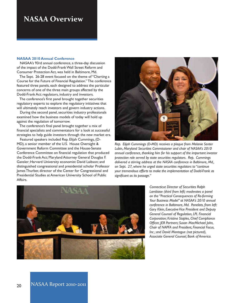#### **NASAA 2010 Annual Conference**

 NASAA's 93rd annual conference, a three-day discussion of the impact of the Dodd-Frank Wall Street Reform and Consumer Protection Act, was held in Baltimore, Md.

 The Sept. 26-28 event focused on the theme of "Charting a Course for the Future of Financial Regulation." The conference featured three panels, each designed to address the particular concerns of one of the three main groups affected by the Dodd-Frank Act: regulators, industry and investors.

 The conference's first panel brought together securities regulatory experts to explore the regulatory initiatives that will ultimately reach investors and govern industry actions.

 During the second panel, securities industry professionals examined how the business models of today will hold up against the regulation of tomorrow.

 The conference's final panel brought together a mix of financial specialists and commentators for a look at successful strategies to help guide investors through the new market era.

 Featured speakers included Rep. Elijah Cummings, (D-MD), a senior member of the U.S. House Oversight & Government Reform Committee and the House-Senate Conference Committee on financial regulation that produced the Dodd-Frank Act; Maryland Attorney General Douglas F. Gansler; Harvard University economist David Laibson; and distinguished congressional and presidential scholar Professor James Thurber, director of the Center for Congressional and Presidential Studies at American University School of Public Affairs.



*Rep. Elijah Cummings (D-MD) receives a plaque from Melanie Senter Lubin, Maryland Securities Commissioner and chair of NASAA's 2010 annual conference, thanking him for his support of the important investor protection role served by state securities regulators. Rep. Cummings delivered a stirring address at the NASAA conference in Baltimore, Md., on Sept. 27, where he urged state securities regulators to "continue your tremendous efforts to make the implementation of Dodd-Frank as significant as its passage."* 



*Connecticut Director of Securities Ralph Lambiase (third from left) moderates a panel on the "Practical Consequences of Re-forming Your Business Model" at NASAA's 2010 annual conference in Baltimore, Md. Panelists, from left: Gary Klein, Executive Vice President and Deputy General Counsel of Regulation, LPL Financial Corporation; Kristina Staples, Chief Compliance Officer, JER Partners; Susan MacMichael John, Chair of NAPFA and President, Financial Focus, Inc.; and David Montague (not pictured), Associate General Counsel, Bank of America.*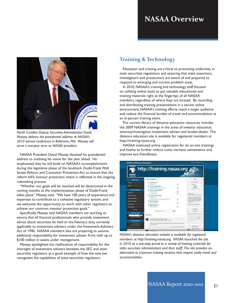

*North Carolina Deputy Securities Administrator David Massey delivers the presidential address at NASAA's 2010 annual conference in Baltimore, Md. Massey will serve a one-year term as NASAA president.*

 NASAA President David Massey devoted his presidential address to outlining his vision for the year ahead. He emphasized that he will build on NASAA's accomplishments during the legislative phase of the landmark Dodd-Frank Wall Street Reform and Consumer Protection Act to ensure that the reform bill's investor protection intent is reflected in the ongoing rulemaking process.

 "Whether our goals will be reached will be determined in the coming months as the implementation phase of Dodd-Frank takes place," Massey said. "We have 100 years of experience and expertise to contribute to a cohesive regulatory system, and we welcome the opportunity to work with other regulators to achieve our common investor protection goals."

 Specifically, Massey said NASAA members are working to ensure that all financial professionals who provide investment advice about securities be held to the fiduciary duty currently applicable to investment advisers under the Investment Advisers Act of 1940. NASAA members also are preparing to assume additional responsibility for investment adviser firms with up to \$100 million in assets under management.

 Massey spotlighted the reallocation of responsibility for the oversight of investment advisers between the SEC and state securities regulators as a good example of how the new law recognizes the capabilities of state securities regulators.

### **Training & Technology**

 Education and training are critical to promoting uniformity in state securities regulations and ensuring that state examiners, investigators and prosecutors are aware of and prepared to respond to emerging and current problem areas.

 In 2010, NASAA's training and technology staff focused on utilizing online tools to put valuable educational and training materials right at the fingertips of all NASAA members, regardless of where they are located. By recording and distributing training presentations in a secure online environment, NASAA's training efforts reach a larger audience and reduce the financial burden of travel and accommodation at an in-person training event.

 The current library of distance education resources includes the 2009 NASAA trainings in the areas of investor education, attorney/investigator, investment adviser and broker-dealer. The distance education site is available for registered members at http://training.nasaa.org.

 NASAA instituted online registration for its on-site trainings and events to further reduce costs, increase convenience and improve eco-friendliness.



*NASAA's distance education website is available for registered members at http://training.nasaa.org. NASAA launched the site in 2010 as a one-stop portal to a variety of training materials for state securities administrators and their staff. The site provides an alternative to in-person training sessions that require costly travel and accommodation.*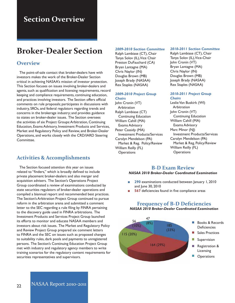# **Section Overview**

# **Broker-Dealer Section**

### **Overview**

 The point-of-sale contact that broker-dealers have with investors makes the work of the Broker-Dealer Section critical in achieving NASAA's mission of investor protection. This Section focuses on issues involving broker-dealers and agents, such as qualification and licensing requirements, record keeping and compliance requirements, continuing education, and practices involving investors. The Section offers official comments on rule proposals; participates in discussions with industry, SROs, and federal regulators regarding trends and concerns in the brokerage industry; and provides guidance to states on broker-dealer issues. The Section oversees the activities of six Project Groups: Arbitration, Continuing Education, Exams Advisory, Investment Products and Services, Market and Regulatory Policy and Review, and Broker-Dealer Operations, and works closely with the CRD/IARD Steering Committee.

## **Activities & Accomplishments**

 The Section focused attention this year on issues related to "finders," which is broadly defined to include private placement broker-dealers and also merger and acquisition advisers. The Section's Operations Project Group coordinated a review of examinations conducted by state securities regulators of broker-dealer operations and compiled a biannual report and recommended best practices. The Section's Arbitration Project Group continued to pursue reform in the arbitration arena and submitted a comment letter to the SEC regarding a rule filing by FINRA pertaining to the discovery guide used in FINRA arbitrations. The Investment Products and Services Project Group launched its efforts to monitor and educate NASAA members and investors about risk issues. The Market and Regulatory Policy and Review Project Group prepared six comment letters to FINRA and the SEC on issues such as proposed changes to suitability rules, dark pools and payments to unregistered persons. The Section's Continuing Education Project Group met with industry and regulatory agency members to write training scenarios for the regulatory content requirements for securities representatives and supervisors.

#### *2009-2010 Section Committee*

Ralph Lambiase (CT), Chair Tanya Solov (IL), Vice Chair Preston DuFauchard (CA) Bryan Lantagne (MA) Chris Naylor (IN) Douglas Brown (MB) Joseph Brady (NASAA) Rex Staples (NASAA)

### *2009-2010 Project Group Chairs*

John Cronin (VT) Arbitration Ralph Lambiase (CT) Continuing Education William Cahill (MA) Exams Advisory Peter Cassidy (MA) Investment Products/Services Carolyn Mendelson (PA) Market & Reg. Policy/Review William Reilly (FL) **Operations** 

### *2010-2011 Section Committee*

Ralph Lambiase (CT), Chair Tanya Solov (IL), Vice-Chair John Cronin (VT) Bryan Lantagne (MA) Chris Naylor (IN) Douglas Brown (MB) Joseph Brady (NASAA) Rex Staples (NASAA)

#### *2010-2011 Project Group Chairs*

Leslie Van Buskirk (WI) Arbitration John Cronin (VT) Continuing Education William Cahill (MA) Exams Advisory Marc Minor (NJ) Investment Products/Services Carolyn Mendelson (PA) Market & Reg. Policy/Review William Reilly (FL) **Operations** 

### **B-D Exam Review**

#### *NASAA 2010 Broker-Dealer Coordinated Examination*

- **290** examinations conducted between January 1, 2010 and June 30, 2010
- **567** deficiencies found in five compliance areas



## **Frequency of B-D Deficiencies** *NASAA 2010 Broker-Dealer Coordinated Examination*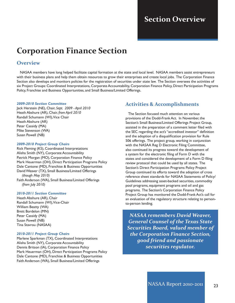## $\sim$   $\sim$   $\sim$ **Section Overview**

# **Corporation Finance Section**

### **Overview**

 NASAA members have long helped facilitate capital formation at the state and local level. NASAA members assist entrepreneurs with their business plans and help them obtain resources to grow their enterprises and create local jobs. The Corporation Finance Section also develops and monitors policies for the registration of securities under state law. The Section oversees the activities of six Project Groups: Coordinated Interpretations, Corporate Accountability, Corporation Finance Policy, Direct Participation Programs Policy, Franchise and Business Opportunities, and Small Business/Limited Offerings.

#### *2009-2010 Section Committee*

Jack Herstein (NE), Chair, *Sept. 2009 - April 2010* Heath Abshure (AR), Chair, *from April 2010* Randall Schumann (WI), Vice Chair Heath Abshure (AR) Peter Cassidy (MA) Mike Stevenson (WA) Susan Powell (NB)

#### *2009-2010 Project Group Chairs*

Rick Fleming (KS), Coordinated Interpretations Alisha Smith (NY), Corporate Accountability Patrick Morgan (MO), Corporation Finance Policy Mark Heuerman (OH), Direct Participation Programs Policy Dale Cantone (MD), Franchise & Business Opportunities David Weaver (TX), Small Business/Limited Offerings *(though May 2010)* Faith Anderson (WA), Small Business/Limited Offerings *(from July 2010)*

### *2010-2011 Section Committee*

Heath Abshure (AR), Chair Randall Schumann (WI), Vice-Chair William Beatty (WA) Brett Bordelon (MN) Peter Cassidy (MA) Susan Powell (NB) Tina Stavrou (NASAA)

### *2010-2011 Project Group Chairs*

Marlene Sparkman (TX), Coordinated Interpretations Alisha Smith (NY), Corporate Accountability Dennis Britson (IA), Corporation Finance Policy Mark Heuerman (OH), Direct Participation Programs Policy Dale Cantone (MD), Franchise & Business Opportunities Faith Anderson (WA), Small Business/Limited Offerings

### **Activities & Accomplishments**

 The Section focused much attention on various provisions of the Dodd-Frank Act. In November, the Section's Small Business/Limited Offerings Project Group, assisted in the preparation of a comment letter filed with the SEC regarding the act's "accredited investor" definition and the adoption of a disqualification provision for Rule 506 offerings. The project group, working in conjunction with the NASAA Reg D Electronic Filing Committee, also continued its progress toward the development of a system for the electronic filing of Form D with the states and considered the development of a Form D filing review protocol that could be used by all states. The Section's Direct Participation Programs Policy Project Group continued its efforts toward the adoption of cross reference sheet standards for NASAA Statements of Policy/ Guidelines addressing asset-backed securities, commodity pool programs, equipment programs and oil and gas programs. The Section's Corporation Finance Policy Project Group has monitored the Dodd-Frank Act's call for an evaluation of the regulatory structure relating to personto-person lending.

*NASAA remembers David Weaver, General Counsel of the Texas State Securities Board, valued member of the Corporation Finance Section, good friend and passionate securities regulator.*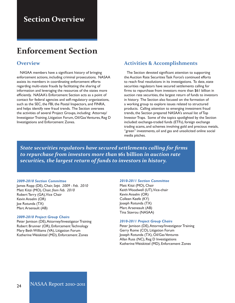# **Section Overview**

# **Enforcement Section**

### **Overview**

 NASAA members have a significant history of bringing enforcement actions, including criminal prosecutions. NASAA assists its members in coordinating enforcement efforts regarding multi-state frauds by facilitating the sharing of information and leveraging the resources of the states more efficiently. NASAA's Enforcement Section acts as a point of contact for federal agencies and self-regulatory organizations, such as the SEC, the FBI, the Postal Inspectors, and FINRA, and helps identify new fraud trends. The Section oversees the activities of several Project Groups, including: Attorney/ Investigator Training, Litigation Forum, Oil/Gas Ventures, Reg D Investigations and Enforcement Zones.

## **Activities & Accomplishments**

 The Section devoted significant attention to supporting the Auction Rate Securities Task Force's continued efforts to reach final resolutions in its investigations. To date, state securities regulators have secured settlements calling for firms to repurchase from investors more than \$61 billion in auction rate securities, the largest return of funds to investors in history. The Section also focused on the formation of a working group to explore issues related to structured products. Calling attention to emerging investment fraud trends, the Section prepared NASAA's annual list of Top Investor Traps. Some of the topics spotlighted by the Section included: exchange-traded funds (ETFs), foreign exchange trading scams, and schemes involving gold and precious metals, "green" investments, oil and gas and unsolicited online social media pitches.

*State securities regulators have secured settlements calling for firms to repurchase from investors more than* **\$61 billion** *in auction rate securities, the largest return of funds to investors in history.* 

#### *2009-2010 Section Committee*

James Ropp (DE), Chair, *Sept. 2009 - Feb. 2010* Matt Kitzi (MO), Chair, *from Feb. 2010* Robert Terry (GA), Vice Chair Kevin Anselm (OR) Joe Rotunda (TX) Marc Arsenault (AB)

#### *2009-2010 Project Group Chairs*

Peter Jamison (DE), Attorney/Investigator Training Robert Brunner (OR), Enforcement Technology Mary Beth Williams (VA), Litigation Forum Katherine Weiskittel (MD), Enforcement Zones

#### *2010-2011 Section Committee*

Matt Kitzi (MO), Chair Keith Woodwell (UT), Vice-chair Kevin Anselm (OR) Colleen Keefe (KY) Joseph Rotunda (TX) Marc Arseneault (AB) Tina Stavrou (NASAA)

#### *2010-2011 Project Group Chairs*

Peter Jamison (DE), Attorney/Investigator Training Gerry Rome (CO), Litigation Forum Joseph Rotunda (TX), Oil/Gas Ventures Allan Russ (NC), Reg D Investigations Katherine Weiskittel (MD), Enforcement Zones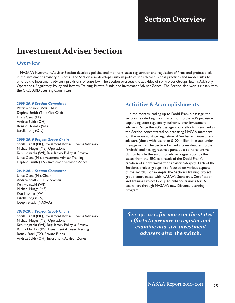## $\sim$  0  $\sim$ **Section Overview**

# **Investment Adviser Section**

### **Overview**

 NASAA's Investment Adviser Section develops policies and monitors state registration and regulation of firms and professionals in the investment advisory business. The Section also develops uniform policies for ethical business practices and model rules to enforce the investment advisory provisions of state law. The Section oversees the activities of six Project Groups: Exams Advisory, Operations, Regulatory Policy and Review, Training, Private Funds, and Investment Adviser Zones. The Section also works closely with the CRD/IARD Steering Committee.

#### *2009-2010 Section Committee*

Patricia Struck (WI), Chair Daphne Smith (TN), Vice Chair Linda Cena (MI) Andrea Seidt (OH) Ronald Thomas (VA) Estella Tong (ON)

#### *2009-2010 Project Group Chairs*

Sheila Cahill (NE), Investment Adviser Exams Advisory Michael Huggs (MS), Operations Ken Hojnacki (WI), Regulatory Policy & Review Linda Cena (MI), Investment Adviser Training Daphne Smith (TN), Investment Adviser Zones

#### *2010-2011 Section Committee*

Linda Cena (MI), Chair Andrea Seidt (OH), Vice-chair Ken Hojnacki (WI) Michael Huggs (MS) Ron Thomas (VA) Estella Tong (ON) Joseph Brady (NASAA)

#### *2010-2011 Project Group Chairs*

Sheila Cahill (NE), Investment Adviser Exams Advisory Michael Huggs (MS), Operations Ken Hojnacki (WI), Regulatory Policy & Review Randy Mullikin (KS), Investment Adviser Training Ronak Patel (TX), Private Funds Andrea Seidt (OH), Investment Adviser Zones

### **Activities & Accomplishments**

 In the months leading up to Dodd-Frank's passage, the Section devoted significant attention to the act's provision expanding state regulatory authority over investment advisers. Since the act's passage, those efforts intensified as the Section concentrated on preparing NASAA members for the move to state regulation of "mid-sized" investment advisers (those with less than \$100 million in assets under management). The Section formed a team devoted to the "switch" and has aggressively pursued a comprehensive plan to handle the switch of adviser registration to the states from the SEC as a result of the Dodd-Frank's creation of a new "mid-sized" adviser category. Each of the Section's project groups also focused on various aspects of the switch. For example, the Section's training project group coordinated with NASAA's Standards, Certification and Training Project Group to enhance training for IA examiners through NASAA's new Distance Learning program.

*See* **pp. 12-13** *for more on the states' efforts to prepare to register and examine mid-size investment advisers after* **the switch***.*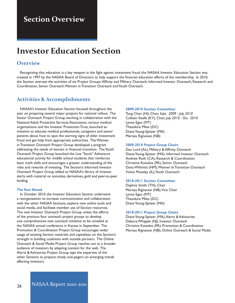# **Section Overview**

# **Investor Education Section**

### **Overview**

 Recognizing that education is a key weapon in the fight against investment fraud, the NASAA Investor Education Section was created in 1997 by the NASAA Board of Directors to help support the financial education efforts of the membership. In 2010, the Section oversaw the activities of six Project Groups: Affinity and Military Outreach, Informed Investor Outreach, Research and Coordination, Senior Outreach, Women in Transition Outreach and Youth Outreach.

### **Activities & Accomplishments**

 NASAA's Investor Education Section focused throughout the year on preparing several major projects for national rollout. The Senior Outreach Project Group, working in collaboration with the National Adult Protective Services Association, various medical organizations and the Investor Protection Trust, launched an initiative to educate medical professionals, caregivers and senior patients about how to spot the warning signs of elder investment fraud and get help from appropriate authorities. The Women in Transition Outreach Project Group developed a program addressing the needs of women in financial transition. The Youth Outreach Project Group launched the Live "Stock" Adventure educational activity for middle school students that reinforces basic math skills and encourages a greater understanding of the risks and rewards of investing. The Section's Informed Investor Outreach Project Group added to NASAA's library of investor alerts with material on annuities, derivatives, gold and peer-to-peer lending.

### *The Year Ahead*

 In October 2010, the Investor Education Section underwent a reorganization to increase communication and collaboration with the other NASAA Sections, explore new online tools and social media, and facilitate member use of Section resources. The new Investor Outreach Project Group unites the efforts of the previous four outreach project groups to develop one comprehensive new outreach initiative to be unveiled at the NASAA annual conference in Kansas in September. The Promotion & Coordination Project Group encourages wider usage of existing Section materials and capitalizes on the Section's strength in building coalitions with outside partners. The Online Outreach & Social Media Project Group reaches out to a broader audience of investors by adapting content for the web. The Alerts & Advisories Project Group taps the expertise of the other Sections to prepare timely one-pagers on emerging trends affecting investors.

#### *2009-2010 Section Committee*

Tung Chan (HI), Chair, *Sept. 2009 - July 2010* Colleen Keefe (KY), Chair, *July 2010 - Oct. 2010* Lynne Egan (MT) Theodore Miles (DC) Diane Young-Spitzer (MA) Marissa Rignanesi (NB)

#### *2009-2010 Project Group Chairs*

Dan Lord (AL), Military & Affinity Outreach Diane Young-Spitzer (MA), Informed Investor Outreach Andrew Roth (CA), Research & Coordination Christina Kotsalos (PA), Senior Outreach Gena Wilimitis (NM), Women In Transition Outreach Vickie Moseley (IL), Youth Outreach

#### *2010-2011 Section Committee*

Daphne Smith (TN), Chair Marissa Rignanesi (NB), Vice Chair Lynne Egan (MT) Theodore Miles (DC) Diane Young-Spitzer (MA)

#### *2010-2011 Project Group Chairs*

Diane Young-Spitzer (MA), Alerts & Advisories Debora Whipple (NJ), Investor Outreach Christina Kotsalos (PA), Promotion & Coordination Marissa Rignanesi (NB), Online Outreach & Social Media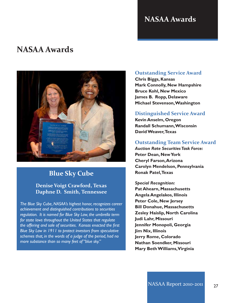# **NASAA Awards**

# **NASAA Awards**



# **Blue Sky Cube**

### **Denise Voigt Crawford, Texas Daphne D. Smith, Tennessee**

*The Blue Sky Cube, NASAA's highest honor, recognizes career achievement and distinguished contributions to securities regulation. It is named for Blue Sky Law, the umbrella term for state laws throughout the United States that regulate the offering and sale of securities. Kansas enacted the first Blue Sky Law in 1911 to protect investors from speculative schemes that, in the words of a judge of the period, had no more substance than so many feet of "blue sky."* 

### **Outstanding Service Award**

**Chris Biggs, Kansas Mark Connolly, New Hampshire Bruce Kohl, New Mexico James B. Ropp, Delaware Michael Stevenson,Washington**

### **Distinguished Service Award**

**Kevin Anselm, Oregon Randall Schumann,Wisconsin DavidWeaver,Texas**

### **Outstanding Team Service Award**

*Auction Rate SecuritiesTask Force:* **Peter Dean, NewYork Cheryl Farson,Arizona Carolyn Mendelson, Pennsylvania Ronak Patel,Texas**

*Special Recognition:* **Pat Ahearn, Massachusetts Angela Angelakos, Illinois Peter Cole, New Jersey Bill Donahue, Massachusetts Zesley Haislip, North Carolina Judi Lahr, Missouri Jennifer Monopoli, Georgia Jim Nix, Illinois Jerry Rome, Colorado Nathan Soendker, Missouri Mary BethWilliams,Virginia**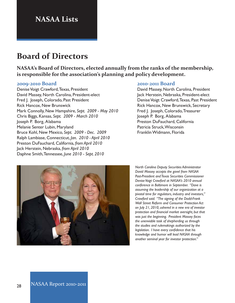# **NASAA Lists**

# **Board of Directors**

**NASAA's Board of Directors, elected annually from the ranks of the membership, is responsible for the association's planning and policy development.** 

### **2009-2010 Board**

Denise Voigt Crawford, Texas, President David Massey, North Carolina, President-elect Fred J. Joseph, Colorado, Past President Rick Hancox, New Brunswick Mark Connolly, New Hampshire, *Sept. 2009 - May 2010* Chris Biggs, Kansas, *Sept. 2009 - March 2010* Joseph P. Borg, Alabama Melanie Senter Lubin, Maryland Bruce Kohl, New Mexico, *Sept. 2009 - Dec. 2009* Ralph Lambiase, Connecticut, *Jan. 2010 - April 2010* Preston DuFauchard, California, *from April 2010* Jack Herstein, Nebraska, *from April 2010* Daphne Smith, Tennessee, *June 2010 - Sept. 2010*

### **2010-2011 Board**

David Massey, North Carolina, President Jack Herstein, Nebraska, President-elect Denise Voigt Crawford, Texas, Past President Rick Hancox, New Brunswick, Secretary Fred J. Joseph, Colorado, Treasurer Joseph P. Borg, Alabama Preston DuFauchard, California Patricia Struck, Wisconsin Franklin Widmann, Florida



*North Carolina Deputy Securities Administrator David Massey accepts the gavel from NASAA Past-President and Texas Securities Commissioner Denise Voigt Crawford at NASAA's 2010 annual conference in Baltimore in September. "Dave is assuming the leadership of our organization at a pivotal time for regulators, industry and investors," Crawford said. "The signing of the Dodd-Frank Wall Street Reform and Consumer Protection Act on July 21, 2010, ushered in a new era of investor protection and financial market oversight, but that was just the beginning. President Massey faces the unenviable task of shepherding us through the studies and rulemakings authorized by the legislation. I have every confidence that his knowledge and humor will lead NASAA through another seminal year for investor protection."*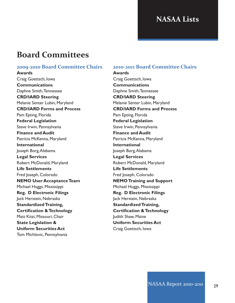# **NASAA Lists**

# **Board Committees**

### **2009-2010 Board Committee Chairs**

**Awards** Craig Goettsch, Iowa **Communications** Daphne Smith, Tennessee **CRD/IARD Steering** Melanie Senter Lubin, Maryland **CRD/IARD Forms and Process** Pam Epting, Florida **Federal Legislation** Steve Irwin, Pennsylvania **Finance and Audit** Patricia McKenna, Maryland **International** Joseph Borg, Alabama **Legal Services** Robert McDonald, Maryland **Life Settlements** Fred Joseph, Colorado **NEMO** User Acceptance Team Michael Huggs, Mississippi **Reg. D Electronic Filings** Jack Herstein, Nebraska **StandardizedTraining, Certification &Technology** Matt Kitzi, Missouri, Chair **State Legislation & Uniform Securities Act** Tom Michlovic, Pennsylvania

### **2010-2011 Board Committee Chairs**

**Awards** Craig Goettsch, Iowa **Communications** Daphne Smith, Tennessee **CRD/IARD Steering** Melanie Senter Lubin, Maryland **CRD/IARD Forms and Process** Pam Epting, Florida **Federal Legislation** Steve Irwin, Pennsylvania **Finance and Audit** Patricia McKenna, Maryland **International** Joseph Borg, Alabama **Legal Services** Robert McDonald, Maryland **Life Settlements** Fred Joseph, Colorado **NEMOTraining and Support** Michael Huggs, Mississippi **Reg. D Electronic Filings** Jack Herstein, Nebraska **StandardizedTraining, Certification &Technology** Judith Shaw, Maine **Uniform Securities Act** Craig Goettsch, Iowa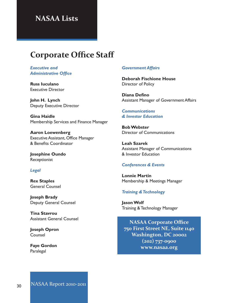# **NASAA Lists**

# **Corporate Office Staff**

*Executive and Administrative Office*

**Russ Iuculano** Executive Director

**John H. Lynch** Deputy Executive Director

**Gina Haidle** Membership Services and Finance Manager

**Aaron Loewenberg** Executive Assistant, Office Manager & Benefits Coordinator

**Josephine Oundo** Receptionist

### *Legal*

**Rex Staples** General Counsel

**Joseph Brady** Deputy General Counsel

**Tina Stavrou** Assistant General Counsel

**Joseph Opron** Counsel

**Faye Gordon** Paralegal

### *Government Affairs*

**Deborah Fischione House** Director of Policy

**Diana Defino** Assistant Manager of Government Affairs

*Communications & Investor Education*

**BobWebster** Director of Communications

**Leah Szarek** Assistant Manager of Communications & Investor Education

### *Conferences & Events*

**Lonnie Martin** Membership & Meetings Manager

### *Training &Technology*

**JasonWolf** Training & Technology Manager

**NASAA Corporate Office 750 First Street NE, Suite 1140 Washington, DC 20002 (202) 737-0900 www.nasaa.org**